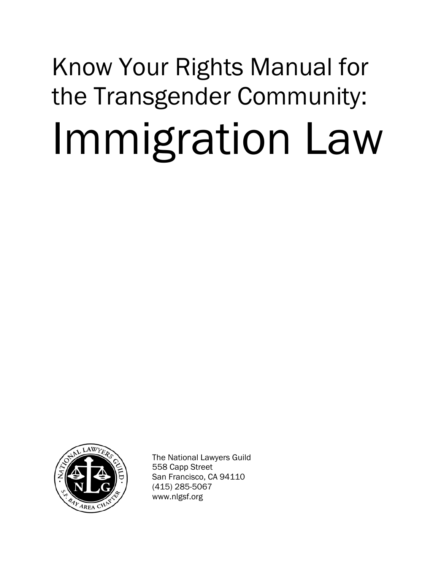# Know Your Rights Manual for the Transgender Community: Immigration Law



The National Lawyers Guild 558 Capp Street San Francisco, CA 94110 (415) 285-5067 www.nlgsf.org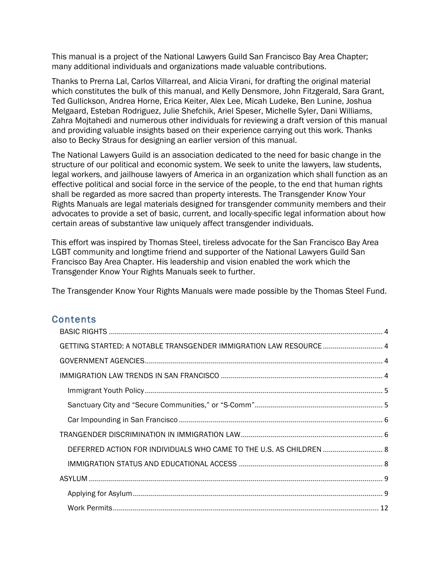This manual is a project of the National Lawyers Guild San Francisco Bay Area Chapter; many additional individuals and organizations made valuable contributions.

Thanks to Prerna Lal, Carlos Villarreal, and Alicia Virani, for drafting the original material which constitutes the bulk of this manual, and Kelly Densmore, John Fitzgerald, Sara Grant, Ted Gullickson, Andrea Horne, Erica Keiter, Alex Lee, Micah Ludeke, Ben Lunine, Joshua Melgaard, Esteban Rodriguez, Julie Shefchik, Ariel Speser, Michelle Syler, Dani Williams, Zahra Mojtahedi and numerous other individuals for reviewing a draft version of this manual and providing valuable insights based on their experience carrying out this work. Thanks also to Becky Straus for designing an earlier version of this manual.

The National Lawyers Guild is an association dedicated to the need for basic change in the structure of our political and economic system. We seek to unite the lawyers, law students, legal workers, and jailhouse lawyers of America in an organization which shall function as an effective political and social force in the service of the people, to the end that human rights shall be regarded as more sacred than property interests. The Transgender Know Your Rights Manuals are legal materials designed for transgender community members and their advocates to provide a set of basic, current, and locally-specific legal information about how certain areas of substantive law uniquely affect transgender individuals.

This effort was inspired by Thomas Steel, tireless advocate for the San Francisco Bay Area LGBT community and longtime friend and supporter of the National Lawyers Guild San Francisco Bay Area Chapter. His leadership and vision enabled the work which the Transgender Know Your Rights Manuals seek to further.

The Transgender Know Your Rights Manuals were made possible by the Thomas Steel Fund.

# **Contents**

| GETTING STARTED: A NOTABLE TRANSGENDER IMMIGRATION LAW RESOURCE 4   |  |
|---------------------------------------------------------------------|--|
|                                                                     |  |
|                                                                     |  |
|                                                                     |  |
|                                                                     |  |
|                                                                     |  |
|                                                                     |  |
| DEFERRED ACTION FOR INDIVIDUALS WHO CAME TO THE U.S. AS CHILDREN  8 |  |
|                                                                     |  |
|                                                                     |  |
|                                                                     |  |
|                                                                     |  |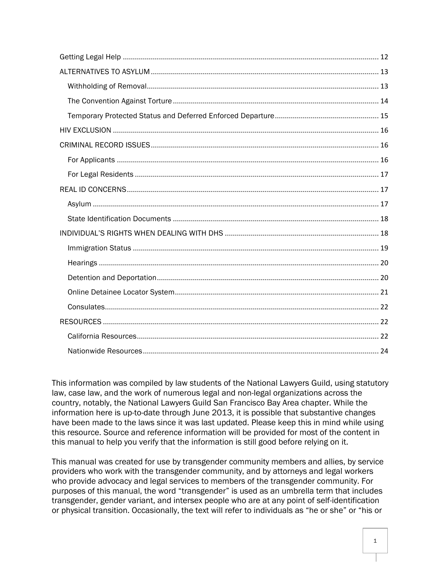This information was compiled by law students of the National Lawyers Guild, using statutory law, case law, and the work of numerous legal and non-legal organizations across the country, notably, the National Lawyers Guild San Francisco Bay Area chapter. While the information here is up-to-date through June 2013, it is possible that substantive changes have been made to the laws since it was last updated. Please keep this in mind while using this resource. Source and reference information will be provided for most of the content in this manual to help you verify that the information is still good before relying on it.

This manual was created for use by transgender community members and allies, by service providers who work with the transgender community, and by attorneys and legal workers who provide advocacy and legal services to members of the transgender community. For purposes of this manual, the word "transgender" is used as an umbrella term that includes transgender, gender variant, and intersex people who are at any point of self-identification or physical transition. Occasionally, the text will refer to individuals as "he or she" or "his or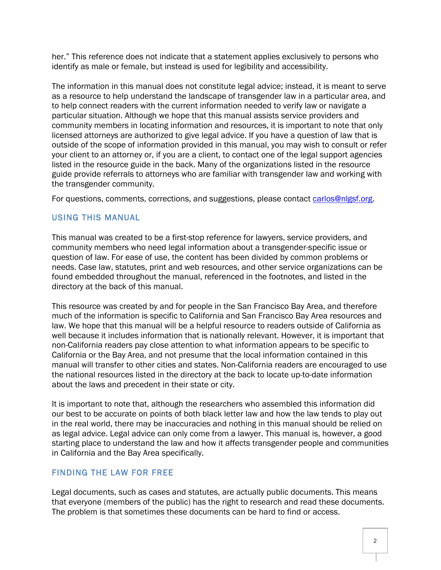her." This reference does not indicate that a statement applies exclusively to persons who identify as male or female, but instead is used for legibility and accessibility.

The information in this manual does not constitute legal advice; instead, it is meant to serve as a resource to help understand the landscape of transgender law in a particular area, and to help connect readers with the current information needed to verify law or navigate a particular situation. Although we hope that this manual assists service providers and community members in locating information and resources, it is important to note that only licensed attorneys are authorized to give legal advice. If you have a question of law that is outside of the scope of information provided in this manual, you may wish to consult or refer your client to an attorney or, if you are a client, to contact one of the legal support agencies listed in the resource guide in the back. Many of the organizations listed in the resource guide provide referrals to attorneys who are familiar with transgender law and working with the transgender community.

For questions, comments, corrections, and suggestions, please contact carlos@nlgsf.org.

# USING THIS MANUAL

This manual was created to be a first-stop reference for lawyers, service providers, and community members who need legal information about a transgender-specific issue or question of law. For ease of use, the content has been divided by common problems or needs. Case law, statutes, print and web resources, and other service organizations can be found embedded throughout the manual, referenced in the footnotes, and listed in the directory at the back of this manual.

This resource was created by and for people in the San Francisco Bay Area, and therefore much of the information is specific to California and San Francisco Bay Area resources and law. We hope that this manual will be a helpful resource to readers outside of California as well because it includes information that is nationally relevant. However, it is important that non-California readers pay close attention to what information appears to be specific to California or the Bay Area, and not presume that the local information contained in this manual will transfer to other cities and states. Non-California readers are encouraged to use the national resources listed in the directory at the back to locate up-to-date information about the laws and precedent in their state or city.

It is important to note that, although the researchers who assembled this information did our best to be accurate on points of both black letter law and how the law tends to play out in the real world, there may be inaccuracies and nothing in this manual should be relied on as legal advice. Legal advice can only come from a lawyer. This manual is, however, a good starting place to understand the law and how it affects transgender people and communities in California and the Bay Area specifically.

# FINDING THE LAW FOR FREE

Legal documents, such as cases and statutes, are actually public documents. This means that everyone (members of the public) has the right to research and read these documents. The problem is that sometimes these documents can be hard to find or access.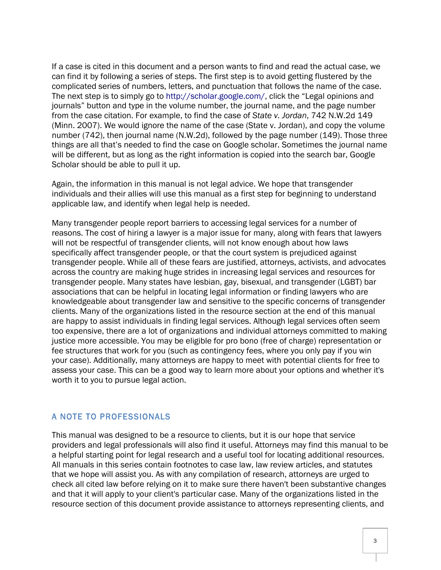If a case is cited in this document and a person wants to find and read the actual case, we can find it by following a series of steps. The first step is to avoid getting flustered by the complicated series of numbers, letters, and punctuation that follows the name of the case. The next step is to simply go to http://scholar.google.com/, click the "Legal opinions and journals" button and type in the volume number, the journal name, and the page number from the case citation. For example, to find the case of *State v. Jordan*, 742 N.W.2d 149 (Minn. 2007). We would ignore the name of the case (State v. Jordan), and copy the volume number (742), then journal name (N.W.2d), followed by the page number (149). Those three things are all that's needed to find the case on Google scholar. Sometimes the journal name will be different, but as long as the right information is copied into the search bar, Google Scholar should be able to pull it up.

Again, the information in this manual is not legal advice. We hope that transgender individuals and their allies will use this manual as a first step for beginning to understand applicable law, and identify when legal help is needed.

Many transgender people report barriers to accessing legal services for a number of reasons. The cost of hiring a lawyer is a major issue for many, along with fears that lawyers will not be respectful of transgender clients, will not know enough about how laws specifically affect transgender people, or that the court system is prejudiced against transgender people. While all of these fears are justified, attorneys, activists, and advocates across the country are making huge strides in increasing legal services and resources for transgender people. Many states have lesbian, gay, bisexual, and transgender (LGBT) bar associations that can be helpful in locating legal information or finding lawyers who are knowledgeable about transgender law and sensitive to the specific concerns of transgender clients. Many of the organizations listed in the resource section at the end of this manual are happy to assist individuals in finding legal services. Although legal services often seem too expensive, there are a lot of organizations and individual attorneys committed to making justice more accessible. You may be eligible for pro bono (free of charge) representation or fee structures that work for you (such as contingency fees, where you only pay if you win your case). Additionally, many attorneys are happy to meet with potential clients for free to assess your case. This can be a good way to learn more about your options and whether it's worth it to you to pursue legal action.

## A NOTE TO PROFESSIONALS

This manual was designed to be a resource to clients, but it is our hope that service providers and legal professionals will also find it useful. Attorneys may find this manual to be a helpful starting point for legal research and a useful tool for locating additional resources. All manuals in this series contain footnotes to case law, law review articles, and statutes that we hope will assist you. As with any compilation of research, attorneys are urged to check all cited law before relying on it to make sure there haven't been substantive changes and that it will apply to your client's particular case. Many of the organizations listed in the resource section of this document provide assistance to attorneys representing clients, and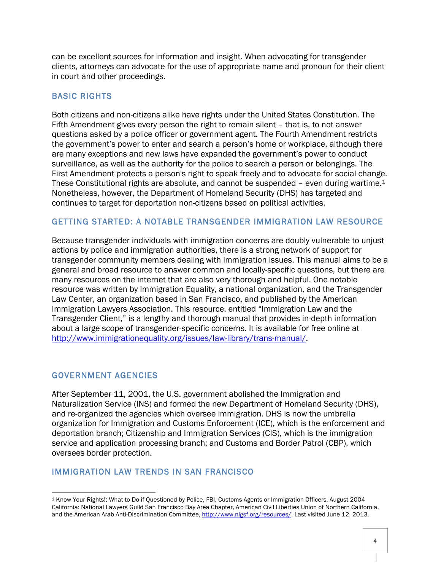can be excellent sources for information and insight. When advocating for transgender clients, attorneys can advocate for the use of appropriate name and pronoun for their client in court and other proceedings.

# BASIC RIGHTS

Both citizens and non-citizens alike have rights under the United States Constitution. The Fifth Amendment gives every person the right to remain silent – that is, to not answer questions asked by a police officer or government agent. The Fourth Amendment restricts the government's power to enter and search a person's home or workplace, although there are many exceptions and new laws have expanded the government's power to conduct surveillance, as well as the authority for the police to search a person or belongings. The First Amendment protects a person's right to speak freely and to advocate for social change. These Constitutional rights are absolute, and cannot be suspended - even during wartime.<sup>1</sup> Nonetheless, however, the Department of Homeland Security (DHS) has targeted and continues to target for deportation non-citizens based on political activities.

# GETTING STARTED: A NOTABLE TRANSGENDER IMMIGRATION LAW RESOURCE

Because transgender individuals with immigration concerns are doubly vulnerable to unjust actions by police and immigration authorities, there is a strong network of support for transgender community members dealing with immigration issues. This manual aims to be a general and broad resource to answer common and locally-specific questions, but there are many resources on the internet that are also very thorough and helpful. One notable resource was written by Immigration Equality, a national organization, and the Transgender Law Center, an organization based in San Francisco, and published by the American Immigration Lawyers Association. This resource, entitled "Immigration Law and the Transgender Client," is a lengthy and thorough manual that provides in-depth information about a large scope of transgender-specific concerns. It is available for free online at http://www.immigrationequality.org/issues/law-library/trans-manual/.

# GOVERNMENT AGENCIES

<u> 1989 - Johann Stein, fransk politik (d. 1989)</u>

After September 11, 2001, the U.S. government abolished the Immigration and Naturalization Service (INS) and formed the new Department of Homeland Security (DHS), and re-organized the agencies which oversee immigration. DHS is now the umbrella organization for Immigration and Customs Enforcement (ICE), which is the enforcement and deportation branch; Citizenship and Immigration Services (CIS), which is the immigration service and application processing branch; and Customs and Border Patrol (CBP), which oversees border protection.

# IMMIGRATION LAW TRENDS IN SAN FRANCISCO

<sup>1</sup> Know Your Rights!: What to Do if Questioned by Police, FBI, Customs Agents or Immigration Officers, August 2004 California: National Lawyers Guild San Francisco Bay Area Chapter, American Civil Liberties Union of Northern California, and the American Arab Anti-Discrimination Committee, http://www.nlgsf.org/resources/, Last visited June 12, 2013.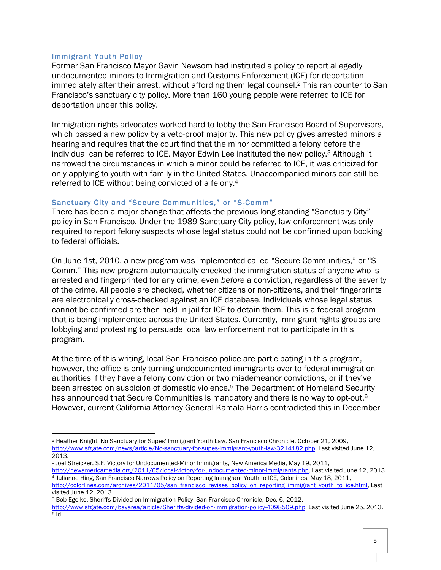#### Immigrant Youth Policy

<u> 1989 - Johann Stein, fransk politik (d. 1989)</u>

Former San Francisco Mayor Gavin Newsom had instituted a policy to report allegedly undocumented minors to Immigration and Customs Enforcement (ICE) for deportation immediately after their arrest, without affording them legal counsel.2 This ran counter to San Francisco's sanctuary city policy. More than 160 young people were referred to ICE for deportation under this policy.

Immigration rights advocates worked hard to lobby the San Francisco Board of Supervisors, which passed a new policy by a veto-proof majority. This new policy gives arrested minors a hearing and requires that the court find that the minor committed a felony before the individual can be referred to ICE. Mayor Edwin Lee instituted the new policy.3 Although it narrowed the circumstances in which a minor could be referred to ICE, it was criticized for only applying to youth with family in the United States. Unaccompanied minors can still be referred to ICE without being convicted of a felony.4

#### Sanctuary City and "Secure Communities," or "S-Comm"

There has been a major change that affects the previous long-standing "Sanctuary City" policy in San Francisco. Under the 1989 Sanctuary City policy, law enforcement was only required to report felony suspects whose legal status could not be confirmed upon booking to federal officials.

On June 1st, 2010, a new program was implemented called "Secure Communities," or "S-Comm." This new program automatically checked the immigration status of anyone who is arrested and fingerprinted for any crime, even *before* a conviction, regardless of the severity of the crime. All people are checked, whether citizens or non-citizens, and their fingerprints are electronically cross-checked against an ICE database. Individuals whose legal status cannot be confirmed are then held in jail for ICE to detain them. This is a federal program that is being implemented across the United States. Currently, immigrant rights groups are lobbying and protesting to persuade local law enforcement not to participate in this program.

At the time of this writing, local San Francisco police are participating in this program, however, the office is only turning undocumented immigrants over to federal immigration authorities if they have a felony conviction or two misdemeanor convictions, or if they've been arrested on suspicion of domestic violence.<sup>5</sup> The Department of Homeland Security has announced that Secure Communities is mandatory and there is no way to opt-out.<sup>6</sup> However, current California Attorney General Kamala Harris contradicted this in December

<sup>2</sup> Heather Knight, No Sanctuary for Supes' Immigrant Youth Law, San Francisco Chronicle, October 21, 2009, http://www.sfgate.com/news/article/No-sanctuary-for-supes-immigrant-youth-law-3214182.php, Last visited June 12, 2013.

<sup>3</sup> Joel Streicker, S.F. Victory for Undocumented-Minor Immigrants, New America Media, May 19, 2011, http://newamericamedia.org/2011/05/local-victory-for-undocumented-minor-immigrants.php, Last visited June 12, 2013. <sup>4</sup> Julianne Hing, San Francisco Narrows Policy on Reporting Immigrant Youth to ICE, Colorlines, May 18, 2011,

http://colorlines.com/archives/2011/05/san\_francisco\_revises\_policy\_on\_reporting\_immigrant\_youth\_to\_ice.html, Last visited June 12, 2013.

<sup>5</sup> Bob Egelko, Sheriffs Divided on Immigration Policy, San Francisco Chronicle, Dec. 6, 2012,

http://www.sfgate.com/bayarea/article/Sheriffs-divided-on-immigration-policy-4098509.php, Last visited June 25, 2013.  $6$  Id.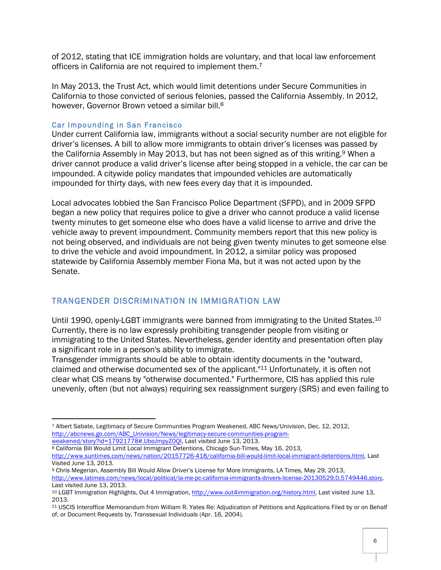of 2012, stating that ICE immigration holds are voluntary, and that local law enforcement officers in California are not required to implement them.7

In May 2013, the Trust Act, which would limit detentions under Secure Communities in California to those convicted of serious felonies, passed the California Assembly. In 2012, however, Governor Brown vetoed a similar bill.<sup>8</sup>

## Car Impounding in San Francisco

<u> 1989 - Johann Stein, fransk politik (d. 1989)</u>

Under current California law, immigrants without a social security number are not eligible for driver's licenses. A bill to allow more immigrants to obtain driver's licenses was passed by the California Assembly in May 2013, but has not been signed as of this writing.<sup>9</sup> When a driver cannot produce a valid driver's license after being stopped in a vehicle, the car can be impounded. A citywide policy mandates that impounded vehicles are automatically impounded for thirty days, with new fees every day that it is impounded.

Local advocates lobbied the San Francisco Police Department (SFPD), and in 2009 SFPD began a new policy that requires police to give a driver who cannot produce a valid license twenty minutes to get someone else who does have a valid license to arrive and drive the vehicle away to prevent impoundment. Community members report that this new policy is not being observed, and individuals are not being given twenty minutes to get someone else to drive the vehicle and avoid impoundment. In 2012, a similar policy was proposed statewide by California Assembly member Fiona Ma, but it was not acted upon by the Senate.

# TRANGENDER DISCRIMINATION IN IMMIGRATION LAW

Until 1990, openly-LGBT immigrants were banned from immigrating to the United States.10 Currently, there is no law expressly prohibiting transgender people from visiting or immigrating to the United States. Nevertheless, gender identity and presentation often play a significant role in a person's ability to immigrate.

Transgender immigrants should be able to obtain identity documents in the "outward, claimed and otherwise documented sex of the applicant."11 Unfortunately, it is often not clear what CIS means by "otherwise documented." Furthermore, CIS has applied this rule unevenly, often (but not always) requiring sex reassignment surgery (SRS) and even failing to

<sup>8</sup> California Bill Would Limit Local Immigrant Detentions, Chicago Sun-Times, May 16, 2013,

<sup>7</sup> Albert Sabate, Legitimacy of Secure Communities Program Weakened, ABC News/Univision, Dec. 12, 2012, http://abcnews.go.com/ABC\_Univision/News/legitimacy-secure-communities-programweakened/story?id=17921778#.UboJmpyZOQI, Last visited June 13, 2013.

http://www.suntimes.com/news/nation/20157726-418/california-bill-would-limit-local-immigrant-detentions.html, Last Visited June 13, 2013.

<sup>9</sup> Chris Megerian, Assembly Bill Would Allow Driver's License for More Immigrants, LA Times, May 29, 2013, http://www.latimes.com/news/local/political/la-me-pc-california-immigrants-drivers-license-20130529,0,5749446.story, Last visited June 13, 2013.

<sup>10</sup> LGBT Immigration Highlights, Out 4 Immigration, http://www.out4immigration.org/history.html, Last visited June 13, 2013.

<sup>11</sup> USCIS Interoffice Memorandum from William R. Yates Re: Adjudication of Petitions and Applications Filed by or on Behalf of, or Document Requests by, Transsexual Individuals (Apr. 16, 2004).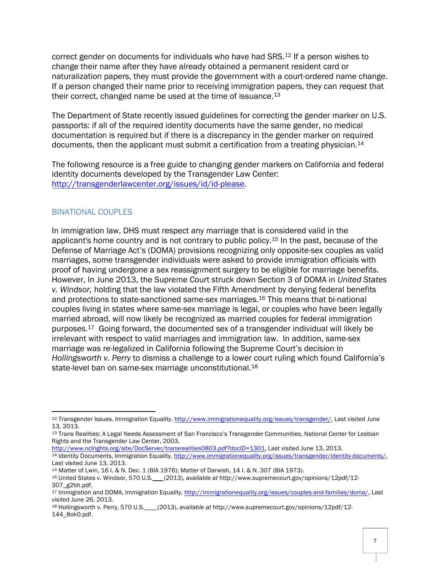correct gender on documents for individuals who have had SRS.12 If a person wishes to change their name after they have already obtained a permanent resident card or naturalization papers, they must provide the government with a court-ordered name change. If a person changed their name prior to receiving immigration papers, they can request that their correct, changed name be used at the time of issuance.13

The Department of State recently issued guidelines for correcting the gender marker on U.S. passports: if all of the required identity documents have the same gender, no medical documentation is required but if there is a discrepancy in the gender marker on required documents, then the applicant must submit a certification from a treating physician.<sup>14</sup>

The following resource is a free guide to changing gender markers on California and federal identity documents developed by the Transgender Law Center: http://transgenderlawcenter.org/issues/id/id-please.

# BINATIONAL COUPLES

<u> 1989 - Johann Stein, fransk politik (d. 1989)</u>

In immigration law, DHS must respect any marriage that is considered valid in the applicant's home country and is not contrary to public policy.15 In the past, because of the Defense of Marriage Act's (DOMA) provisions recognizing only opposite-sex couples as valid marriages, some transgender individuals were asked to provide immigration officials with proof of having undergone a sex reassignment surgery to be eligible for marriage benefits. However, In June 2013, the Supreme Court struck down Section 3 of DOMA in *United States v. Windsor,* holding that the law violated the Fifth Amendment by denying federal benefits and protections to state-sanctioned same-sex marriages.16 This means that bi-national couples living in states where same-sex marriage is legal, or couples who have been legally married abroad, will now likely be recognized as married couples for federal immigration purposes.17 Going forward, the documented sex of a transgender individual will likely be irrelevant with respect to valid marriages and immigration law. In addition, same-sex marriage was re-legalized in California following the Supreme Court's decision in *Hollingsworth v. Perry* to dismiss a challenge to a lower court ruling which found California's state-level ban on same-sex marriage unconstitutional.<sup>18</sup>

http://www.nclrights.org/site/DocServer/transrealities0803.pdf?docID=1301, Last visited June 13, 2013.

<sup>12</sup> Transgender Issues. Immigration Equality, http://www.immigrationequality.org/issues/transgender/, Last visited June 13, 2013.

<sup>13</sup> Trans Realities: A Legal Needs Assessment of San Francisco's Transgender Communities, National Center for Lesbian Rights and the Transgender Law Center, 2003,

<sup>14</sup> Identity Documents, Immigration Equality, http://www.immigrationequality.org/issues/transgender/identity-documents/, Last visited June 13, 2013.<br><sup>14</sup> Matter of Lwin, 16 I. & N. Dec. 1 (BIA 1976); Matter of Darwish, 14 I. & N. 307 (BIA 1973).

<sup>&</sup>lt;sup>16</sup> United States v. Windsor, 570 U.S.\_\_\_ (2013), available at http://www.supremecourt.gov/opinions/12pdf/12-307\_g2bh.pdf.

<sup>17</sup> Immigration and DOMA, Immigration Equality, http://immigrationequality.org/issues/couples-and-families/doma/, Last visited June 26, 2013.

<sup>18</sup> Hollingsworth v. Perry, 570 U.S.\_\_\_\_(2013), *available at* http://www.supremecourt.gov/opinions/12pdf/12- 144\_8ok0.pdf.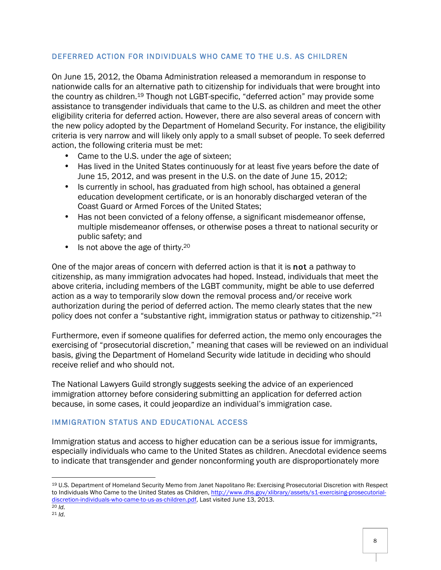## DEFERRED ACTION FOR INDIVIDUALS WHO CAME TO THE U.S. AS CHILDREN

On June 15, 2012, the Obama Administration released a memorandum in response to nationwide calls for an alternative path to citizenship for individuals that were brought into the country as children.19 Though not LGBT-specific, "deferred action" may provide some assistance to transgender individuals that came to the U.S. as children and meet the other eligibility criteria for deferred action. However, there are also several areas of concern with the new policy adopted by the Department of Homeland Security. For instance, the eligibility criteria is very narrow and will likely only apply to a small subset of people. To seek deferred action, the following criteria must be met:

- Came to the U.S. under the age of sixteen;
- Has lived in the United States continuously for at least five years before the date of June 15, 2012, and was present in the U.S. on the date of June 15, 2012;
- Is currently in school, has graduated from high school, has obtained a general education development certificate, or is an honorably discharged veteran of the Coast Guard or Armed Forces of the United States;
- Has not been convicted of a felony offense, a significant misdemeanor offense, multiple misdemeanor offenses, or otherwise poses a threat to national security or public safety; and
- Is not above the age of thirty.<sup>20</sup>

One of the major areas of concern with deferred action is that it is not a pathway to citizenship, as many immigration advocates had hoped. Instead, individuals that meet the above criteria, including members of the LGBT community, might be able to use deferred action as a way to temporarily slow down the removal process and/or receive work authorization during the period of deferred action. The memo clearly states that the new policy does not confer a "substantive right, immigration status or pathway to citizenship."21

Furthermore, even if someone qualifies for deferred action, the memo only encourages the exercising of "prosecutorial discretion," meaning that cases will be reviewed on an individual basis, giving the Department of Homeland Security wide latitude in deciding who should receive relief and who should not.

The National Lawyers Guild strongly suggests seeking the advice of an experienced immigration attorney before considering submitting an application for deferred action because, in some cases, it could jeopardize an individual's immigration case.

# IMMIGRATION STATUS AND EDUCATIONAL ACCESS

Immigration status and access to higher education can be a serious issue for immigrants, especially individuals who came to the United States as children. Anecdotal evidence seems to indicate that transgender and gender nonconforming youth are disproportionately more

<sup>19</sup> U.S. Department of Homeland Security Memo from Janet Napolitano Re: Exercising Prosecutorial Discretion with Respect to Individuals Who Came to the United States as Children, http://www.dhs.gov/xlibrary/assets/s1-exercising-prosecutorialdiscretion-individuals-who-came-to-us-as-children.pdf, Last visited June 13, 2013. 20 *Id.*

<sup>21</sup> *Id.*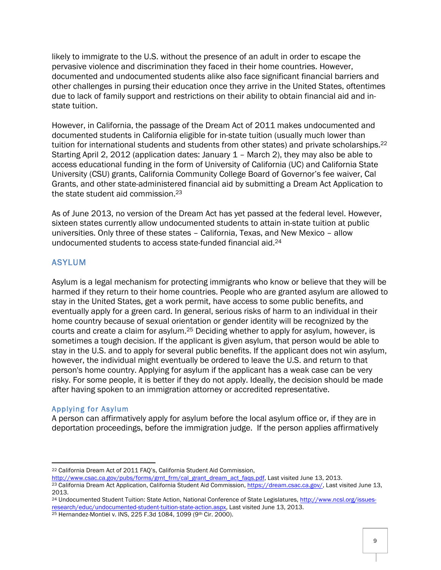likely to immigrate to the U.S. without the presence of an adult in order to escape the pervasive violence and discrimination they faced in their home countries. However, documented and undocumented students alike also face significant financial barriers and other challenges in pursing their education once they arrive in the United States, oftentimes due to lack of family support and restrictions on their ability to obtain financial aid and instate tuition.

However, in California, the passage of the Dream Act of 2011 makes undocumented and documented students in California eligible for in-state tuition (usually much lower than tuition for international students and students from other states) and private scholarships.<sup>22</sup> Starting April 2, 2012 (application dates: January 1 – March 2), they may also be able to access educational funding in the form of University of California (UC) and California State University (CSU) grants, California Community College Board of Governor's fee waiver, Cal Grants, and other state-administered financial aid by submitting a Dream Act Application to the state student aid commission.<sup>23</sup>

As of June 2013, no version of the Dream Act has yet passed at the federal level. However, sixteen states currently allow undocumented students to attain in-state tuition at public universities. Only three of these states – California, Texas, and New Mexico – allow undocumented students to access state-funded financial aid.24

# ASYLUM

Asylum is a legal mechanism for protecting immigrants who know or believe that they will be harmed if they return to their home countries. People who are granted asylum are allowed to stay in the United States, get a work permit, have access to some public benefits, and eventually apply for a green card. In general, serious risks of harm to an individual in their home country because of sexual orientation or gender identity will be recognized by the courts and create a claim for asylum.25 Deciding whether to apply for asylum, however, is sometimes a tough decision. If the applicant is given asylum, that person would be able to stay in the U.S. and to apply for several public benefits. If the applicant does not win asylum, however, the individual might eventually be ordered to leave the U.S. and return to that person's home country. Applying for asylum if the applicant has a weak case can be very risky. For some people, it is better if they do not apply. Ideally, the decision should be made after having spoken to an immigration attorney or accredited representative.

## Applying for Asylum

<u> 1989 - Johann Stein, fransk politik (d. 1989)</u>

A person can affirmatively apply for asylum before the local asylum office or, if they are in deportation proceedings, before the immigration judge. If the person applies affirmatively

<sup>22</sup> California Dream Act of 2011 FAQ's, California Student Aid Commission,

http://www.csac.ca.gov/pubs/forms/grnt\_frm/cal\_grant\_dream\_act\_faqs.pdf, Last visited June 13, 2013.

<sup>23</sup> California Dream Act Application, California Student Aid Commission, https://dream.csac.ca.gov/, Last visited June 13, 2013.

<sup>24</sup> Undocumented Student Tuition: State Action, National Conference of State Legislatures, http://www.ncsl.org/issuesresearch/educ/undocumented-student-tuition-state-action.aspx, Last visited June 13, 2013.

<sup>25</sup> Hernandez-Montiel v. INS, 225 F.3d 1084, 1099 (9th Cir. 2000).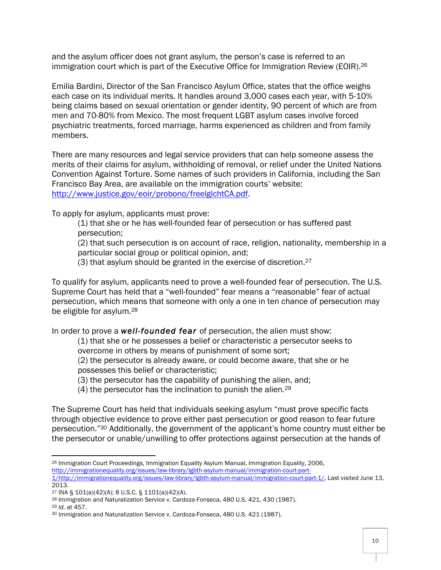and the asylum officer does not grant asylum, the person's case is referred to an immigration court which is part of the Executive Office for Immigration Review (EOIR).<sup>26</sup>

Emilia Bardini, Director of the San Francisco Asylum Office, states that the office weighs each case on its individual merits. It handles around 3,000 cases each year, with 5-10% being claims based on sexual orientation or gender identity, 90 percent of which are from men and 70-80% from Mexico. The most frequent LGBT asylum cases involve forced psychiatric treatments, forced marriage, harms experienced as children and from family members.

There are many resources and legal service providers that can help someone assess the merits of their claims for asylum, withholding of removal, or relief under the United Nations Convention Against Torture. Some names of such providers in California, including the San Francisco Bay Area, are available on the immigration courts' website: http://www.justice.gov/eoir/probono/freelglchtCA.pdf.

To apply for asylum, applicants must prove:

(1) that she or he has well-founded fear of persecution or has suffered past persecution;

(2) that such persecution is on account of race, religion, nationality, membership in a particular social group or political opinion, and;

(3) that asylum should be granted in the exercise of discretion.27

To qualify for asylum, applicants need to prove a well-founded fear of persecution. The U.S. Supreme Court has held that a "well-founded" fear means a "reasonable" fear of actual persecution, which means that someone with only a one in ten chance of persecution may be eligible for asylum.28

In order to prove a *well-founded fear* of persecution, the alien must show:

(1) that she or he possesses a belief or characteristic a persecutor seeks to overcome in others by means of punishment of some sort;

(2) the persecutor is already aware, or could become aware, that she or he possesses this belief or characteristic;

(3) the persecutor has the capability of punishing the alien, and;

(4) the persecutor has the inclination to punish the alien.29

The Supreme Court has held that individuals seeking asylum "must prove specific facts through objective evidence to prove either past persecution or good reason to fear future persecution."30 Additionally, the government of the applicant's home country must either be the persecutor or unable/unwilling to offer protections against persecution at the hands of

<sup>26</sup> Immigration Court Proceedings, Immigration Equality Asylum Manual, Immigration Equality, 2006, http://immigrationequality.org/issues/law-library/lgbth-asylum-manual/immigration-court-part-1/http://immigrationequality.org/issues/law-library/lgbth-asylum-manual/immigration-court-part-1/, Last visited June 13, 2013.

<sup>27</sup> INA § 101(a)(42)(A); 8 U.S.C. § 1101(a)(42)(A).

<sup>&</sup>lt;sup>28</sup> Immigration and Naturalization Service v. Cardoza-Fonseca, 480 U.S. 421, 430 (1987).<br><sup>29</sup> *Id.* at 457.<br><sup>30</sup> Immigration and Naturalization Service v. Cardoza-Fonseca, 480 U.S. 421 (1987).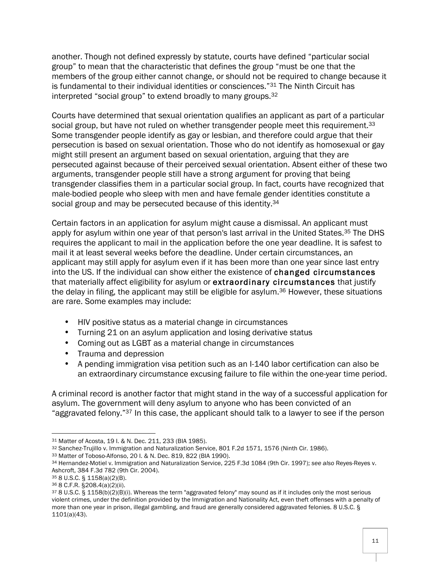another. Though not defined expressly by statute, courts have defined "particular social group" to mean that the characteristic that defines the group "must be one that the members of the group either cannot change, or should not be required to change because it is fundamental to their individual identities or consciences."<sup>31</sup> The Ninth Circuit has interpreted "social group" to extend broadly to many groups.32

Courts have determined that sexual orientation qualifies an applicant as part of a particular social group, but have not ruled on whether transgender people meet this requirement.<sup>33</sup> Some transgender people identify as gay or lesbian, and therefore could argue that their persecution is based on sexual orientation. Those who do not identify as homosexual or gay might still present an argument based on sexual orientation, arguing that they are persecuted against because of their perceived sexual orientation. Absent either of these two arguments, transgender people still have a strong argument for proving that being transgender classifies them in a particular social group. In fact, courts have recognized that male-bodied people who sleep with men and have female gender identities constitute a social group and may be persecuted because of this identity.<sup>34</sup>

Certain factors in an application for asylum might cause a dismissal. An applicant must apply for asylum within one year of that person's last arrival in the United States.<sup>35</sup> The DHS requires the applicant to mail in the application before the one year deadline. It is safest to mail it at least several weeks before the deadline. Under certain circumstances, an applicant may still apply for asylum even if it has been more than one year since last entry into the US. If the individual can show either the existence of changed circumstances that materially affect eligibility for asylum or extraordinary circumstances that justify the delay in filing, the applicant may still be eligible for asylum.<sup>36</sup> However, these situations are rare. Some examples may include:

- HIV positive status as a material change in circumstances
- Turning 21 on an asylum application and losing derivative status
- Coming out as LGBT as a material change in circumstances
- Trauma and depression
- A pending immigration visa petition such as an I-140 labor certification can also be an extraordinary circumstance excusing failure to file within the one-year time period.

A criminal record is another factor that might stand in the way of a successful application for asylum. The government will deny asylum to anyone who has been convicted of an "aggravated felony."37 In this case, the applicant should talk to a lawyer to see if the person

<sup>32</sup> Sanchez-Trujillo v. Immigration and Naturalization Service, 801 F.2d 1571, 1576 (Ninth Cir. 1986).

<sup>31</sup> Matter of Acosta, 19 I. & N. Dec. 211, 233 (BIA 1985).

<sup>33</sup> Matter of Toboso-Alfonso, 20 I. & N. Dec. 819, 822 (BIA 1990).

<sup>34</sup> Hernandez-Motiel v. Immigration and Naturalization Service, 225 F.3d 1084 (9th Cir. 1997); *see also* Reyes-Reyes v. Ashcroft, 384 F.3d 782 (9th Cir. 2004).

<sup>35</sup> 8 U.S.C. § 1158(a)(2)(B).

<sup>36</sup> 8 C.F.R. §208.4(a)(2)(ii).

<sup>37</sup> 8 U.S.C. § 1158(b)(2)(B)(i). Whereas the term "aggravated felony" may sound as if it includes only the most serious violent crimes, under the definition provided by the Immigration and Nationality Act, even theft offenses with a penalty of more than one year in prison, illegal gambling, and fraud are generally considered aggravated felonies. 8 U.S.C. § 1101(a)(43).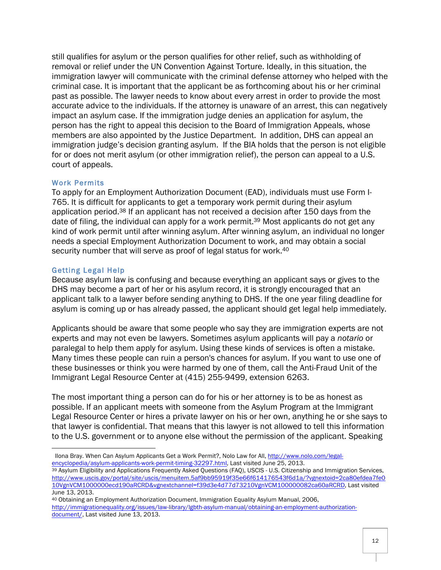still qualifies for asylum or the person qualifies for other relief, such as withholding of removal or relief under the UN Convention Against Torture. Ideally, in this situation, the immigration lawyer will communicate with the criminal defense attorney who helped with the criminal case. It is important that the applicant be as forthcoming about his or her criminal past as possible. The lawyer needs to know about every arrest in order to provide the most accurate advice to the individuals. If the attorney is unaware of an arrest, this can negatively impact an asylum case. If the immigration judge denies an application for asylum, the person has the right to appeal this decision to the Board of Immigration Appeals, whose members are also appointed by the Justice Department. In addition, DHS can appeal an immigration judge's decision granting asylum. If the BIA holds that the person is not eligible for or does not merit asylum (or other immigration relief), the person can appeal to a U.S. court of appeals.

#### Work Permits

To apply for an Employment Authorization Document (EAD), individuals must use Form I-765. It is difficult for applicants to get a temporary work permit during their asylum application period.38 If an applicant has not received a decision after 150 days from the date of filing, the individual can apply for a work permit.<sup>39</sup> Most applicants do not get any kind of work permit until after winning asylum. After winning asylum, an individual no longer needs a special Employment Authorization Document to work, and may obtain a social security number that will serve as proof of legal status for work.<sup>40</sup>

## Getting Legal Help

 

Because asylum law is confusing and because everything an applicant says or gives to the DHS may become a part of her or his asylum record, it is strongly encouraged that an applicant talk to a lawyer before sending anything to DHS. If the one year filing deadline for asylum is coming up or has already passed, the applicant should get legal help immediately.

Applicants should be aware that some people who say they are immigration experts are not experts and may not even be lawyers. Sometimes asylum applicants will pay a *notario* or paralegal to help them apply for asylum. Using these kinds of services is often a mistake. Many times these people can ruin a person's chances for asylum. If you want to use one of these businesses or think you were harmed by one of them, call the Anti-Fraud Unit of the Immigrant Legal Resource Center at (415) 255-9499, extension 6263.

The most important thing a person can do for his or her attorney is to be as honest as possible. If an applicant meets with someone from the Asylum Program at the Immigrant Legal Resource Center or hires a private lawyer on his or her own, anything he or she says to that lawyer is confidential. That means that this lawyer is not allowed to tell this information to the U.S. government or to anyone else without the permission of the applicant. Speaking

Ilona Bray. When Can Asylum Applicants Get a Work Permit?, Nolo Law for All, http://www.nolo.com/legalencyclopedia/asylum-applicants-work-permit-timing-32297.html, Last visited June 25, 2013.

<sup>39</sup> Asylum Eligibility and Applications Frequently Asked Questions (FAQ), USCIS - U.S. Citizenship and Immigration Services, http://www.uscis.gov/portal/site/uscis/menuitem.5af9bb95919f35e66f614176543f6d1a/?vgnextoid=2ca80efdea7fe0 10VgnVCM1000000ecd190aRCRD&vgnextchannel=f39d3e4d77d73210VgnVCM100000082ca60aRCRD, Last visited June 13, 2013.

<sup>40</sup> Obtaining an Employment Authorization Document, Immigration Equality Asylum Manual, 2006, http://immigrationequality.org/issues/law-library/lgbth-asylum-manual/obtaining-an-employment-authorizationdocument/, Last visited June 13, 2013.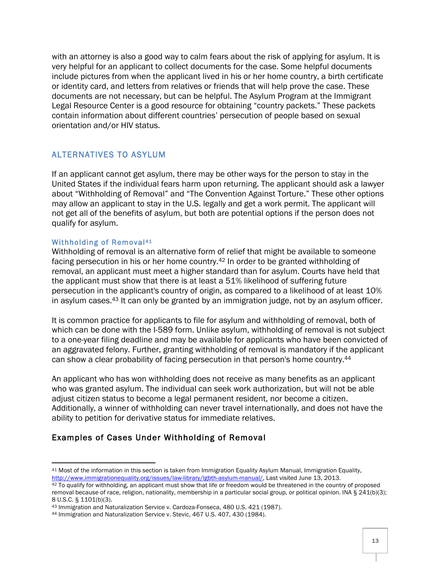with an attorney is also a good way to calm fears about the risk of applying for asylum. It is very helpful for an applicant to collect documents for the case. Some helpful documents include pictures from when the applicant lived in his or her home country, a birth certificate or identity card, and letters from relatives or friends that will help prove the case. These documents are not necessary, but can be helpful. The Asylum Program at the Immigrant Legal Resource Center is a good resource for obtaining "country packets." These packets contain information about different countries' persecution of people based on sexual orientation and/or HIV status.

# ALTERNATIVES TO ASYLUM

If an applicant cannot get asylum, there may be other ways for the person to stay in the United States if the individual fears harm upon returning. The applicant should ask a lawyer about "Withholding of Removal" and "The Convention Against Torture." These other options may allow an applicant to stay in the U.S. legally and get a work permit. The applicant will not get all of the benefits of asylum, but both are potential options if the person does not qualify for asylum.

## Withholding of Removal<sup>41</sup>

<u> 1989 - Johann Stein, fransk politik (d. 1989)</u>

Withholding of removal is an alternative form of relief that might be available to someone facing persecution in his or her home country.<sup>42</sup> In order to be granted withholding of removal, an applicant must meet a higher standard than for asylum. Courts have held that the applicant must show that there is at least a 51% likelihood of suffering future persecution in the applicant's country of origin, as compared to a likelihood of at least 10% in asylum cases.<sup>43</sup> It can only be granted by an immigration judge, not by an asylum officer.

It is common practice for applicants to file for asylum and withholding of removal, both of which can be done with the I-589 form. Unlike asylum, withholding of removal is not subject to a one-year filing deadline and may be available for applicants who have been convicted of an aggravated felony. Further, granting withholding of removal is mandatory if the applicant can show a clear probability of facing persecution in that person's home country.44

An applicant who has won withholding does not receive as many benefits as an applicant who was granted asylum. The individual can seek work authorization, but will not be able adjust citizen status to become a legal permanent resident, nor become a citizen. Additionally, a winner of withholding can never travel internationally, and does not have the ability to petition for derivative status for immediate relatives.

# Examples of Cases Under Withholding of Removal

<sup>41</sup> Most of the information in this section is taken from Immigration Equality Asylum Manual, Immigration Equality, http://www.immigrationequality.org/issues/law-library/lgbth-asylum-manual/, Last visited June 13, 2013.

<sup>42</sup> To qualify for withholding, an applicant must show that life or freedom would be threatened in the country of proposed removal because of race, religion, nationality, membership in a particular social group, or political opinion. INA § 241(b)(3); 8 U.S.C. § 1101(b)(3).

<sup>43</sup> Immigration and Naturalization Service v. Cardoza-Fonseca, 480 U.S. 421 (1987).

<sup>44</sup> Immigration and Naturalization Service v. Stevic, 467 U.S. 407, 430 (1984).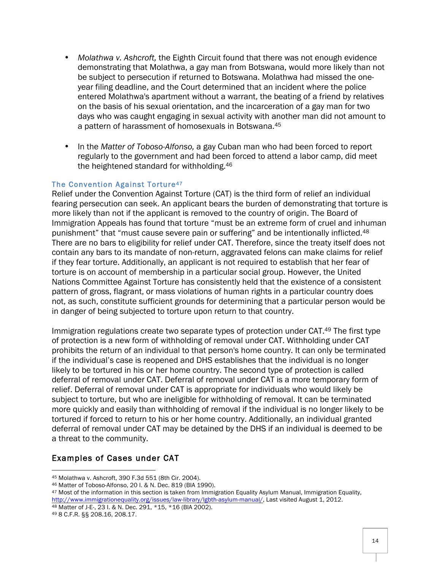- *Molathwa v. Ashcroft,* the Eighth Circuit found that there was not enough evidence demonstrating that Molathwa, a gay man from Botswana, would more likely than not be subject to persecution if returned to Botswana. Molathwa had missed the oneyear filing deadline, and the Court determined that an incident where the police entered Molathwa's apartment without a warrant, the beating of a friend by relatives on the basis of his sexual orientation, and the incarceration of a gay man for two days who was caught engaging in sexual activity with another man did not amount to a pattern of harassment of homosexuals in Botswana. 45
- In the *Matter of Toboso-Alfonso,* a gay Cuban man who had been forced to report regularly to the government and had been forced to attend a labor camp, did meet the heightened standard for withholding.46

#### The Convention Against Torture<sup>47</sup>

Relief under the Convention Against Torture (CAT) is the third form of relief an individual fearing persecution can seek. An applicant bears the burden of demonstrating that torture is more likely than not if the applicant is removed to the country of origin. The Board of Immigration Appeals has found that torture "must be an extreme form of cruel and inhuman punishment" that "must cause severe pain or suffering" and be intentionally inflicted.48 There are no bars to eligibility for relief under CAT. Therefore, since the treaty itself does not contain any bars to its mandate of non-return, aggravated felons can make claims for relief if they fear torture. Additionally, an applicant is not required to establish that her fear of torture is on account of membership in a particular social group. However, the United Nations Committee Against Torture has consistently held that the existence of a consistent pattern of gross, flagrant, or mass violations of human rights in a particular country does not, as such, constitute sufficient grounds for determining that a particular person would be in danger of being subjected to torture upon return to that country.

Immigration regulations create two separate types of protection under CAT.49 The first type of protection is a new form of withholding of removal under CAT. Withholding under CAT prohibits the return of an individual to that person's home country. It can only be terminated if the individual's case is reopened and DHS establishes that the individual is no longer likely to be tortured in his or her home country. The second type of protection is called deferral of removal under CAT. Deferral of removal under CAT is a more temporary form of relief. Deferral of removal under CAT is appropriate for individuals who would likely be subject to torture, but who are ineligible for withholding of removal. It can be terminated more quickly and easily than withholding of removal if the individual is no longer likely to be tortured if forced to return to his or her home country. Additionally, an individual granted deferral of removal under CAT may be detained by the DHS if an individual is deemed to be a threat to the community.

## Examples of Cases under CAT

 

<sup>45</sup> Molathwa v. Ashcroft, 390 F.3d 551 (8th Cir. 2004).

<sup>46</sup> Matter of Toboso-Alfonso, 20 I. & N. Dec. 819 (BIA 1990).

<sup>47</sup> Most of the information in this section is taken from Immigration Equality Asylum Manual, Immigration Equality, http://www.immigrationequality.org/issues/law-library/lgbth-asylum-manual/, Last visited August 1, 2012. <sup>48</sup> Matter of J-E-, 23 I. & N. Dec. 291, \*15, \*16 (BIA 2002).

<sup>49</sup> 8 C.F.R. §§ 208.16, 208.17.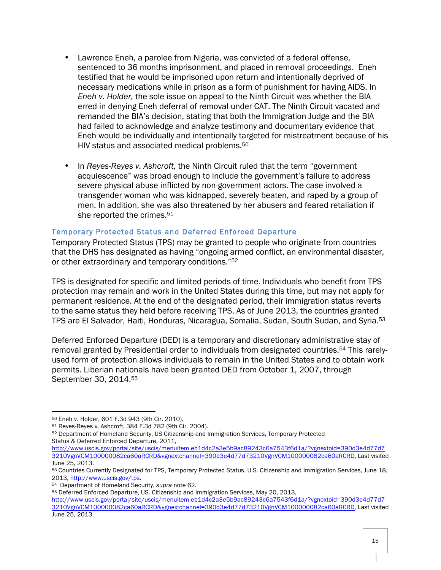- Lawrence Eneh, a parolee from Nigeria, was convicted of a federal offense, sentenced to 36 months imprisonment, and placed in removal proceedings. Eneh testified that he would be imprisoned upon return and intentionally deprived of necessary medications while in prison as a form of punishment for having AIDS. In *Eneh v. Holder,* the sole issue on appeal to the Ninth Circuit was whether the BIA erred in denying Eneh deferral of removal under CAT. The Ninth Circuit vacated and remanded the BIA's decision, stating that both the Immigration Judge and the BIA had failed to acknowledge and analyze testimony and documentary evidence that Eneh would be individually and intentionally targeted for mistreatment because of his HIV status and associated medical problems.50
- In *Reyes-Reyes v. Ashcroft,* the Ninth Circuit ruled that the term "government acquiescence" was broad enough to include the government's failure to address severe physical abuse inflicted by non-government actors. The case involved a transgender woman who was kidnapped, severely beaten, and raped by a group of men. In addition, she was also threatened by her abusers and feared retaliation if she reported the crimes.<sup>51</sup>

## Temporary Protected Status and Deferred Enforced Departure

Temporary Protected Status (TPS) may be granted to people who originate from countries that the DHS has designated as having "ongoing armed conflict, an environmental disaster, or other extraordinary and temporary conditions."52

TPS is designated for specific and limited periods of time. Individuals who benefit from TPS protection may remain and work in the United States during this time, but may not apply for permanent residence. At the end of the designated period, their immigration status reverts to the same status they held before receiving TPS. As of June 2013, the countries granted TPS are El Salvador, Haiti, Honduras, Nicaragua, Somalia, Sudan, South Sudan, and Syria.53

Deferred Enforced Departure (DED) is a temporary and discretionary administrative stay of removal granted by Presidential order to individuals from designated countries.54 This rarelyused form of protection allows individuals to remain in the United States and to obtain work permits. Liberian nationals have been granted DED from October 1, 2007, through September 30, 2014. 55

<sup>50</sup> Eneh v. Holder, 601 F.3d 943 (9th Cir. 2010).

<sup>51</sup> Reyes-Reyes v. Ashcroft, 384 F.3d 782 (9th Cir. 2004).

<sup>52</sup> Department of Homeland Security, US Citizenship and Immigration Services, Temporary Protected Status & Deferred Enforced Departure, 2011,

http://www.uscis.gov/portal/site/uscis/menuitem.eb1d4c2a3e5b9ac89243c6a7543f6d1a/?vgnextoid=390d3e4d77d7 3210VgnVCM100000082ca60aRCRD&vgnextchannel=390d3e4d77d73210VgnVCM100000082ca60aRCRD, Last visited June 25, 2013.

<sup>53</sup> Countries Currently Designated for TPS, Temporary Protected Status, U.S. Citizenship and Immigration Services, June 18, 2013, http://www.uscis.gov/tps.

<sup>54</sup> Department of Homeland Security, *supra* note 62.

<sup>55</sup> Deferred Enforced Departure, US. Citizenship and Immigration Services, May 20, 2013,

http://www.uscis.gov/portal/site/uscis/menuitem.eb1d4c2a3e5b9ac89243c6a7543f6d1a/?vgnextoid=390d3e4d77d7 3210VgnVCM100000082ca60aRCRD&vgnextchannel=390d3e4d77d73210VgnVCM100000082ca60aRCRD, Last visited June 25, 2013.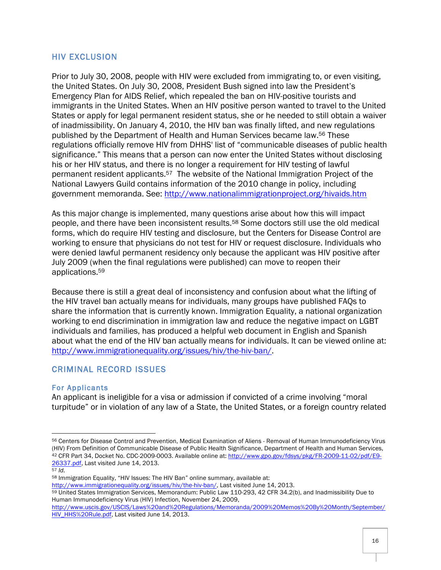## HIV EXCLUSION

Prior to July 30, 2008, people with HIV were excluded from immigrating to, or even visiting, the United States. On July 30, 2008, President Bush signed into law the President's Emergency Plan for AIDS Relief, which repealed the ban on HIV-positive tourists and immigrants in the United States. When an HIV positive person wanted to travel to the United States or apply for legal permanent resident status, she or he needed to still obtain a waiver of inadmissibility. On January 4, 2010, the HIV ban was finally lifted, and new regulations published by the Department of Health and Human Services became law.56 These regulations officially remove HIV from DHHS' list of "communicable diseases of public health significance." This means that a person can now enter the United States without disclosing his or her HIV status, and there is no longer a requirement for HIV testing of lawful permanent resident applicants.57 The website of the National Immigration Project of the National Lawyers Guild contains information of the 2010 change in policy, including government memoranda. See: http://www.nationalimmigrationproject.org/hivaids.htm

As this major change is implemented, many questions arise about how this will impact people, and there have been inconsistent results.58 Some doctors still use the old medical forms, which do require HIV testing and disclosure, but the Centers for Disease Control are working to ensure that physicians do not test for HIV or request disclosure. Individuals who were denied lawful permanent residency only because the applicant was HIV positive after July 2009 (when the final regulations were published) can move to reopen their applications.59

Because there is still a great deal of inconsistency and confusion about what the lifting of the HIV travel ban actually means for individuals, many groups have published FAQs to share the information that is currently known. Immigration Equality, a national organization working to end discrimination in immigration law and reduce the negative impact on LGBT individuals and families, has produced a helpful web document in English and Spanish about what the end of the HIV ban actually means for individuals. It can be viewed online at: http://www.immigrationequality.org/issues/hiv/the-hiv-ban/.

# CRIMINAL RECORD ISSUES

<u> 1989 - Johann Stein, fransk politik (d. 1989)</u>

#### For Applicants

An applicant is ineligible for a visa or admission if convicted of a crime involving "moral turpitude" or in violation of any law of a State, the United States, or a foreign country related

<sup>56</sup> Centers for Disease Control and Prevention, Medical Examination of Aliens - Removal of Human Immunodeficiency Virus (HIV) From Definition of Communicable Disease of Public Health Significance, Department of Health and Human Services, <sup>42</sup> CFR Part 34, Docket No. CDC-2009-0003. Available online at: http://www.gpo.gov/fdsys/pkg/FR-2009-11-02/pdf/E9- 26337.pdf, Last visited June 14, 2013.

<sup>57</sup> *Id.*

<sup>58</sup> Immigration Equality, "HIV Issues: The HIV Ban" online summary, available at:

http://www.immigrationequality.org/issues/hiv/the-hiv-ban/, Last visited June 14, 2013.

<sup>59</sup> United States Immigration Services, Memorandum: Public Law 110-293, 42 CFR 34.2(b), and Inadmissibility Due to Human Immunodeficiency Virus (HIV) Infection, November 24, 2009,

http://www.uscis.gov/USCIS/Laws%20and%20Regulations/Memoranda/2009%20Memos%20By%20Month/September/ HIV\_HHS%20Rule.pdf, Last visited June 14, 2013.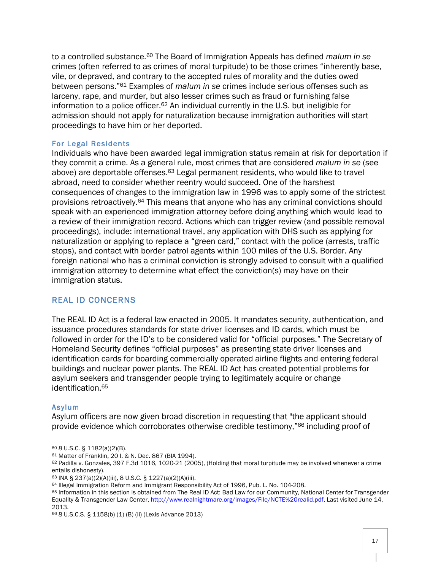to a controlled substance.60 The Board of Immigration Appeals has defined *malum in se*  crimes (often referred to as crimes of moral turpitude) to be those crimes "inherently base, vile, or depraved, and contrary to the accepted rules of morality and the duties owed between persons."61 Examples of *malum in se* crimes include serious offenses such as larceny, rape, and murder, but also lesser crimes such as fraud or furnishing false information to a police officer. <sup>62</sup> An individual currently in the U.S. but ineligible for admission should not apply for naturalization because immigration authorities will start proceedings to have him or her deported.

#### For Legal Residents

Individuals who have been awarded legal immigration status remain at risk for deportation if they commit a crime. As a general rule, most crimes that are considered *malum in se* (see above) are deportable offenses.63 Legal permanent residents, who would like to travel abroad, need to consider whether reentry would succeed. One of the harshest consequences of changes to the immigration law in 1996 was to apply some of the strictest provisions retroactively.64 This means that anyone who has any criminal convictions should speak with an experienced immigration attorney before doing anything which would lead to a review of their immigration record. Actions which can trigger review (and possible removal proceedings), include: international travel, any application with DHS such as applying for naturalization or applying to replace a "green card," contact with the police (arrests, traffic stops), and contact with border patrol agents within 100 miles of the U.S. Border. Any foreign national who has a criminal conviction is strongly advised to consult with a qualified immigration attorney to determine what effect the conviction(s) may have on their immigration status.

# REAL ID CONCERNS

The REAL ID Act is a federal law enacted in 2005. It mandates security, authentication, and issuance procedures standards for state driver licenses and ID cards, which must be followed in order for the ID's to be considered valid for "official purposes." The Secretary of Homeland Security defines "official purposes" as presenting state driver licenses and identification cards for boarding commercially operated airline flights and entering federal buildings and nuclear power plants. The REAL ID Act has created potential problems for asylum seekers and transgender people trying to legitimately acquire or change identification.65

#### Asylum

Asylum officers are now given broad discretion in requesting that "the applicant should provide evidence which corroborates otherwise credible testimony,"66 including proof of

<sup>60</sup> 8 U.S.C. § 1182(a)(2)(B).

<sup>61</sup> Matter of Franklin, 20 I. & N. Dec. 867 (BIA 1994).

<sup>62</sup> Padilla v. Gonzales, 397 F.3d 1016, 1020-21 (2005), (Holding that moral turpitude may be involved whenever a crime entails dishonesty).

<sup>63</sup> INA § 237(a)(2)(A)(iii), 8 U.S.C. § 1227(a)(2)(A)(iii).

<sup>64</sup> Illegal Immigration Reform and Immigrant Responsibility Act of 1996, Pub. L. No. 104-208.

<sup>65</sup> Information in this section is obtained from The Real ID Act: Bad Law for our Community, National Center for Transgender Equality & Transgender Law Center, http://www.realnightmare.org/images/File/NCTE%20realid.pdf, Last visited June 14, 2013.

<sup>66</sup> 8 U.S.C.S. § 1158(b) (1) (B) (ii) (Lexis Advance 2013)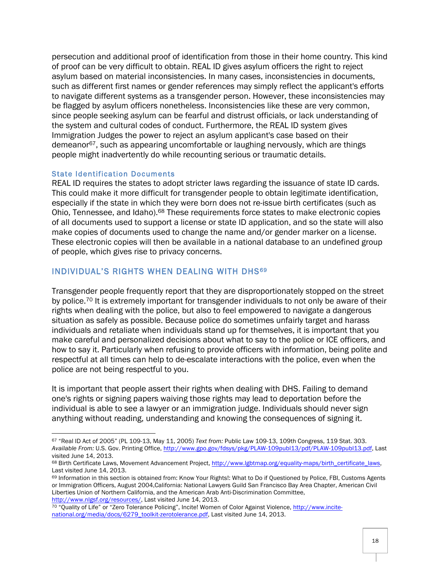persecution and additional proof of identification from those in their home country. This kind of proof can be very difficult to obtain. REAL ID gives asylum officers the right to reject asylum based on material inconsistencies. In many cases, inconsistencies in documents, such as different first names or gender references may simply reflect the applicant's efforts to navigate different systems as a transgender person. However, these inconsistencies may be flagged by asylum officers nonetheless. Inconsistencies like these are very common, since people seeking asylum can be fearful and distrust officials, or lack understanding of the system and cultural codes of conduct. Furthermore, the REAL ID system gives Immigration Judges the power to reject an asylum applicant's case based on their demeanor<sup>67</sup>, such as appearing uncomfortable or laughing nervously, which are things people might inadvertently do while recounting serious or traumatic details.

#### State Identification Documents

<u> 1989 - Johann Stein, fransk politik (d. 1989)</u>

REAL ID requires the states to adopt stricter laws regarding the issuance of state ID cards. This could make it more difficult for transgender people to obtain legitimate identification, especially if the state in which they were born does not re-issue birth certificates (such as Ohio, Tennessee, and Idaho).68 These requirements force states to make electronic copies of all documents used to support a license or state ID application, and so the state will also make copies of documents used to change the name and/or gender marker on a license. These electronic copies will then be available in a national database to an undefined group of people, which gives rise to privacy concerns.

## INDIVIDUAL'S RIGHTS WHEN DEALING WITH DHS<sup>69</sup>

Transgender people frequently report that they are disproportionately stopped on the street by police.<sup>70</sup> It is extremely important for transgender individuals to not only be aware of their rights when dealing with the police, but also to feel empowered to navigate a dangerous situation as safely as possible. Because police do sometimes unfairly target and harass individuals and retaliate when individuals stand up for themselves, it is important that you make careful and personalized decisions about what to say to the police or ICE officers, and how to say it. Particularly when refusing to provide officers with information, being polite and respectful at all times can help to de-escalate interactions with the police, even when the police are not being respectful to you.

It is important that people assert their rights when dealing with DHS. Failing to demand one's rights or signing papers waiving those rights may lead to deportation before the individual is able to see a lawyer or an immigration judge. Individuals should never sign anything without reading, understanding and knowing the consequences of signing it.

<sup>67</sup> "Real ID Act of 2005" (PL 109-13, May 11, 2005) *Text from:* Public Law 109-13, 109th Congress, 119 Stat. 303. *Available From:* U.S. Gov. Printing Office, http://www.gpo.gov/fdsys/pkg/PLAW-109publ13/pdf/PLAW-109publ13.pdf, Last visited June 14, 2013.

<sup>68</sup> Birth Certificate Laws, Movement Advancement Project, http://www.lgbtmap.org/equality-maps/birth\_certificate\_laws, Last visited June 14, 2013.

<sup>69</sup> Information in this section is obtained from: Know Your Rights!: What to Do if Questioned by Police, FBI, Customs Agents or Immigration Officers, August 2004,California: National Lawyers Guild San Francisco Bay Area Chapter, American Civil Liberties Union of Northern California, and the American Arab Anti-Discrimination Committee, http://www.nlgsf.org/resources/, Last visited June 14, 2013.

<sup>70</sup> "Quality of Life" or "Zero Tolerance Policing", Incite! Women of Color Against Violence, http://www.incitenational.org/media/docs/6279\_toolkit-zerotolerance.pdf, Last visited June 14, 2013.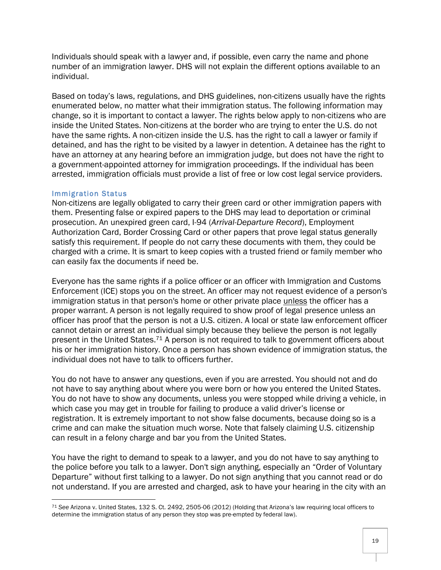Individuals should speak with a lawyer and, if possible, even carry the name and phone number of an immigration lawyer. DHS will not explain the different options available to an individual.

Based on today's laws, regulations, and DHS guidelines, non-citizens usually have the rights enumerated below, no matter what their immigration status. The following information may change, so it is important to contact a lawyer. The rights below apply to non-citizens who are inside the United States. Non-citizens at the border who are trying to enter the U.S. do not have the same rights. A non-citizen inside the U.S. has the right to call a lawyer or family if detained, and has the right to be visited by a lawyer in detention. A detainee has the right to have an attorney at any hearing before an immigration judge, but does not have the right to a government-appointed attorney for immigration proceedings. If the individual has been arrested, immigration officials must provide a list of free or low cost legal service providers.

#### Immigration Status

<u> 1989 - Johann Stein, fransk politik (d. 1989)</u>

Non-citizens are legally obligated to carry their green card or other immigration papers with them. Presenting false or expired papers to the DHS may lead to deportation or criminal prosecution. An unexpired green card, I-94 (*Arrival-Departure Record*), Employment Authorization Card, Border Crossing Card or other papers that prove legal status generally satisfy this requirement. If people do not carry these documents with them, they could be charged with a crime. It is smart to keep copies with a trusted friend or family member who can easily fax the documents if need be.

Everyone has the same rights if a police officer or an officer with Immigration and Customs Enforcement (ICE) stops you on the street. An officer may not request evidence of a person's immigration status in that person's home or other private place unless the officer has a proper warrant. A person is not legally required to show proof of legal presence unless an officer has proof that the person is not a U.S. citizen. A local or state law enforcement officer cannot detain or arrest an individual simply because they believe the person is not legally present in the United States.71 A person is not required to talk to government officers about his or her immigration history. Once a person has shown evidence of immigration status, the individual does not have to talk to officers further.

You do not have to answer any questions, even if you are arrested. You should not and do not have to say anything about where you were born or how you entered the United States. You do not have to show any documents, unless you were stopped while driving a vehicle, in which case you may get in trouble for failing to produce a valid driver's license or registration. It is extremely important to not show false documents, because doing so is a crime and can make the situation much worse. Note that falsely claiming U.S. citizenship can result in a felony charge and bar you from the United States.

You have the right to demand to speak to a lawyer, and you do not have to say anything to the police before you talk to a lawyer. Don't sign anything, especially an "Order of Voluntary Departure" without first talking to a lawyer. Do not sign anything that you cannot read or do not understand. If you are arrested and charged, ask to have your hearing in the city with an

<sup>71</sup> *See* Arizona v. United States, 132 S. Ct. 2492, 2505-06 (2012) (Holding that Arizona's law requiring local officers to determine the immigration status of any person they stop was pre-empted by federal law).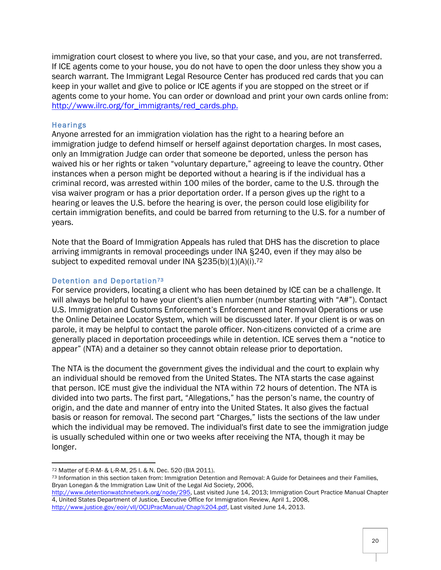immigration court closest to where you live, so that your case, and you, are not transferred. If ICE agents come to your house, you do not have to open the door unless they show you a search warrant. The Immigrant Legal Resource Center has produced red cards that you can keep in your wallet and give to police or ICE agents if you are stopped on the street or if agents come to your home. You can order or download and print your own cards online from: http://www.ilrc.org/for\_immigrants/red\_cards.php.

## **Hearings**

Anyone arrested for an immigration violation has the right to a hearing before an immigration judge to defend himself or herself against deportation charges. In most cases, only an Immigration Judge can order that someone be deported, unless the person has waived his or her rights or taken "voluntary departure," agreeing to leave the country. Other instances when a person might be deported without a hearing is if the individual has a criminal record, was arrested within 100 miles of the border, came to the U.S. through the visa waiver program or has a prior deportation order. If a person gives up the right to a hearing or leaves the U.S. before the hearing is over, the person could lose eligibility for certain immigration benefits, and could be barred from returning to the U.S. for a number of years.

Note that the Board of Immigration Appeals has ruled that DHS has the discretion to place arriving immigrants in removal proceedings under INA §240, even if they may also be subject to expedited removal under INA §235(b)(1)(A)(i).<sup>72</sup>

#### Detention and Deportation<sup>73</sup>

For service providers, locating a client who has been detained by ICE can be a challenge. It will always be helpful to have your client's alien number (number starting with "A#"). Contact U.S. Immigration and Customs Enforcement's Enforcement and Removal Operations or use the Online Detainee Locator System, which will be discussed later. If your client is or was on parole, it may be helpful to contact the parole officer. Non-citizens convicted of a crime are generally placed in deportation proceedings while in detention. ICE serves them a "notice to appear" (NTA) and a detainer so they cannot obtain release prior to deportation.

The NTA is the document the government gives the individual and the court to explain why an individual should be removed from the United States. The NTA starts the case against that person. ICE must give the individual the NTA within 72 hours of detention. The NTA is divided into two parts. The first part, "Allegations," has the person's name, the country of origin, and the date and manner of entry into the United States. It also gives the factual basis or reason for removal. The second part "Charges," lists the sections of the law under which the individual may be removed. The individual's first date to see the immigration judge is usually scheduled within one or two weeks after receiving the NTA, though it may be longer.

<sup>72</sup> Matter of E-R-M- & L-R-M, 25 I. & N. Dec. 520 (BIA 2011).

<sup>73</sup> Information in this section taken from: Immigration Detention and Removal: A Guide for Detainees and their Families, Bryan Lonegan & the Immigration Law Unit of the Legal Aid Society, 2006,

http://www.detentionwatchnetwork.org/node/295, Last visited June 14, 2013; Immigration Court Practice Manual Chapter 4, United States Department of Justice, Executive Office for Immigration Review, April 1, 2008,

http://www.justice.gov/eoir/vll/OCIJPracManual/Chap%204.pdf, Last visited June 14, 2013.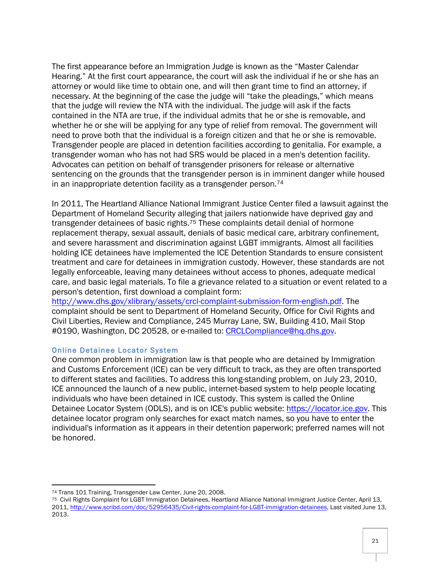The first appearance before an Immigration Judge is known as the "Master Calendar Hearing." At the first court appearance, the court will ask the individual if he or she has an attorney or would like time to obtain one, and will then grant time to find an attorney, if necessary. At the beginning of the case the judge will "take the pleadings," which means that the judge will review the NTA with the individual. The judge will ask if the facts contained in the NTA are true, if the individual admits that he or she is removable, and whether he or she will be applying for any type of relief from removal. The government will need to prove both that the individual is a foreign citizen and that he or she is removable. Transgender people are placed in detention facilities according to genitalia. For example, a transgender woman who has not had SRS would be placed in a men's detention facility. Advocates can petition on behalf of transgender prisoners for release or alternative sentencing on the grounds that the transgender person is in imminent danger while housed in an inappropriate detention facility as a transgender person.74

In 2011, The Heartland Alliance National Immigrant Justice Center filed a lawsuit against the Department of Homeland Security alleging that jailers nationwide have deprived gay and transgender detainees of basic rights.<sup>75</sup> These complaints detail denial of hormone replacement therapy, sexual assault, denials of basic medical care, arbitrary confinement, and severe harassment and discrimination against LGBT immigrants. Almost all facilities holding ICE detainees have implemented the ICE Detention Standards to ensure consistent treatment and care for detainees in immigration custody. However, these standards are not legally enforceable, leaving many detainees without access to phones, adequate medical care, and basic legal materials. To file a grievance related to a situation or event related to a person's detention, first download a complaint form:

http://www.dhs.gov/xlibrary/assets/crcl-complaint-submission-form-english.pdf. The complaint should be sent to Department of Homeland Security, Office for Civil Rights and Civil Liberties, Review and Compliance, 245 Murray Lane, SW, Building 410, Mail Stop #0190, Washington, DC 20528, or e-mailed to: CRCLCompliance@hq.dhs.gov.

## Online Detainee Locator System

One common problem in immigration law is that people who are detained by Immigration and Customs Enforcement (ICE) can be very difficult to track, as they are often transported to different states and facilities. To address this long-standing problem, on July 23, 2010, ICE announced the launch of a new public, internet-based system to help people locating individuals who have been detained in ICE custody. This system is called the Online Detainee Locator System (ODLS), and is on ICE's public website: https://locator.ice.gov. This detainee locator program only searches for exact match names, so you have to enter the individual's information as it appears in their detention paperwork; preferred names will not be honored.

<sup>&</sup>lt;u> 1989 - Johann Stein, fransk politik (d. 1989)</u> <sup>74</sup> Trans 101 Training, Transgender Law Center, June 20, 2008.

<sup>75</sup> Civil Rights Complaint for LGBT Immigration Detainees, Heartland Alliance National Immigrant Justice Center, April 13, 2011, http://www.scribd.com/doc/52956435/Civil-rights-complaint-for-LGBT-immigration-detainees, Last visited June 13, 2013.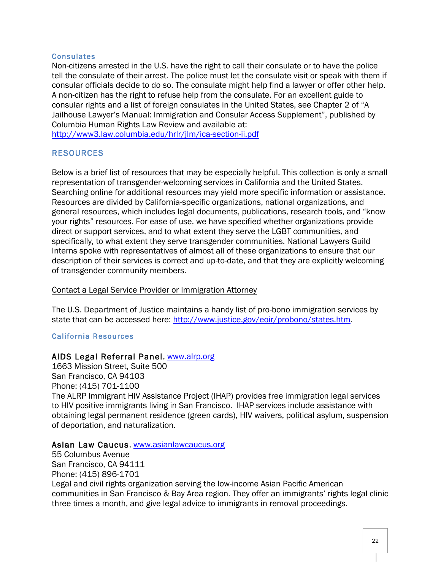#### **Consulates**

Non-citizens arrested in the U.S. have the right to call their consulate or to have the police tell the consulate of their arrest. The police must let the consulate visit or speak with them if consular officials decide to do so. The consulate might help find a lawyer or offer other help. A non-citizen has the right to refuse help from the consulate. For an excellent guide to consular rights and a list of foreign consulates in the United States, see Chapter 2 of "A Jailhouse Lawyer's Manual: Immigration and Consular Access Supplement", published by Columbia Human Rights Law Review and available at:

http://www3.law.columbia.edu/hrlr/jlm/ica-section-ii.pdf

# RESOURCES

Below is a brief list of resources that may be especially helpful. This collection is only a small representation of transgender-welcoming services in California and the United States. Searching online for additional resources may yield more specific information or assistance. Resources are divided by California-specific organizations, national organizations, and general resources, which includes legal documents, publications, research tools, and "know your rights" resources. For ease of use, we have specified whether organizations provide direct or support services, and to what extent they serve the LGBT communities, and specifically, to what extent they serve transgender communities. National Lawyers Guild Interns spoke with representatives of almost all of these organizations to ensure that our description of their services is correct and up-to-date, and that they are explicitly welcoming of transgender community members.

## Contact a Legal Service Provider or Immigration Attorney

The U.S. Department of Justice maintains a handy list of pro-bono immigration services by state that can be accessed here: http://www.justice.gov/eoir/probono/states.htm.

# California Resources

# AIDS Legal Referral Panel, www.alrp.org

1663 Mission Street, Suite 500 San Francisco, CA 94103 Phone: (415) 701-1100 The ALRP Immigrant HIV Assistance Project (IHAP) provides free immigration legal services to HIV positive immigrants living in San Francisco. IHAP services include assistance with obtaining legal permanent residence (green cards), HIV waivers, political asylum, suspension of deportation, and naturalization.

## Asian Law Caucus, www.asianlawcaucus.org

55 Columbus Avenue San Francisco, CA 94111 Phone: (415) 896-1701 Legal and civil rights organization serving the low-income Asian Pacific American communities in San Francisco & Bay Area region. They offer an immigrants' rights legal clinic three times a month, and give legal advice to immigrants in removal proceedings.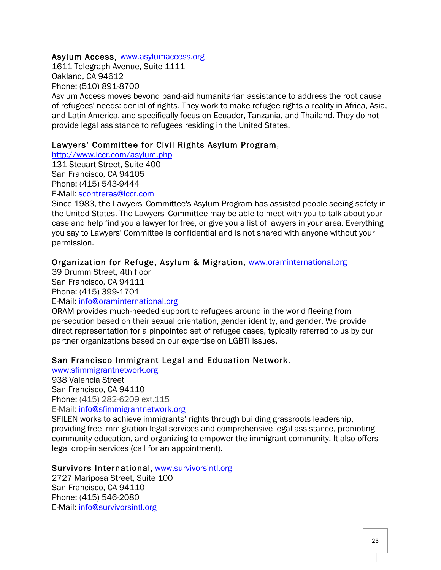## Asylum Access, www.asylumaccess.org

1611 Telegraph Avenue, Suite 1111 Oakland, CA 94612 Phone: (510) 891-8700

Asylum Access moves beyond band-aid humanitarian assistance to address the root cause of refugees' needs: denial of rights. They work to make refugee rights a reality in Africa, Asia, and Latin America, and specifically focus on Ecuador, Tanzania, and Thailand. They do not provide legal assistance to refugees residing in the United States.

# Lawyers' Committee for Civil Rights Asylum Program,

http://www.lccr.com/asylum.php

131 Steuart Street, Suite 400 San Francisco, CA 94105 Phone: (415) 543-9444 E-Mail: scontreras@lccr.com

Since 1983, the Lawyers' Committee's Asylum Program has assisted people seeing safety in the United States. The Lawyers' Committee may be able to meet with you to talk about your case and help find you a lawyer for free, or give you a list of lawyers in your area. Everything you say to Lawyers' Committee is confidential and is not shared with anyone without your permission.

# Organization for Refuge, Asylum & Migration, www.oraminternational.org

39 Drumm Street, 4th floor San Francisco, CA 94111 Phone: (415) 399-1701

E-Mail: info@oraminternational.org

ORAM provides much-needed support to refugees around in the world fleeing from persecution based on their sexual orientation, gender identity, and gender. We provide direct representation for a pinpointed set of refugee cases, typically referred to us by our partner organizations based on our expertise on LGBTI issues.

# San Francisco Immigrant Legal and Education Network,

www.sfimmigrantnetwork.org 938 Valencia Street San Francisco, CA 94110 Phone: (415) 282-6209 ext.115 E-Mail: info@sfimmigrantnetwork.org

SFILEN works to achieve immigrants' rights through building grassroots leadership, providing free immigration legal services and comprehensive legal assistance, promoting community education, and organizing to empower the immigrant community. It also offers legal drop-in services (call for an appointment).

## Survivors International, www.survivorsintl.org

2727 Mariposa Street, Suite 100 San Francisco, CA 94110 Phone: (415) 546-2080 E-Mail: info@survivorsintl.org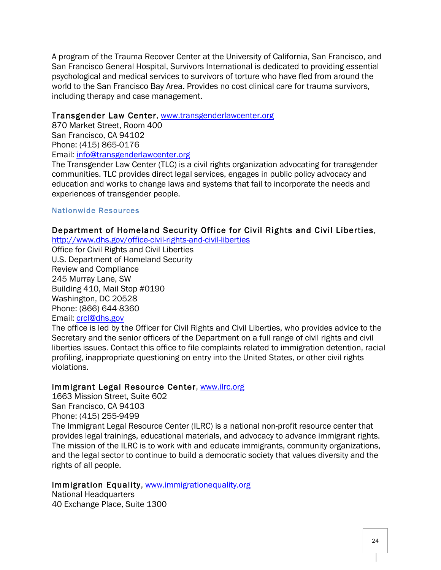A program of the Trauma Recover Center at the University of California, San Francisco, and San Francisco General Hospital, Survivors International is dedicated to providing essential psychological and medical services to survivors of torture who have fled from around the world to the San Francisco Bay Area. Provides no cost clinical care for trauma survivors, including therapy and case management.

## Transgender Law Center, www.transgenderlawcenter.org

870 Market Street, Room 400 San Francisco, CA 94102 Phone: (415) 865-0176 Email: info@transgenderlawcenter.org

The Transgender Law Center (TLC) is a civil rights organization advocating for transgender communities. TLC provides direct legal services, engages in public policy advocacy and education and works to change laws and systems that fail to incorporate the needs and experiences of transgender people.

# Nationwide Resources

# Department of Homeland Security Office for Civil Rights and Civil Liberties,

http://www.dhs.gov/office-civil-rights-and-civil-liberties

Office for Civil Rights and Civil Liberties U.S. Department of Homeland Security Review and Compliance 245 Murray Lane, SW Building 410, Mail Stop #0190 Washington, DC 20528 Phone: (866) 644-8360 Email: crcl@dhs.gov

The office is led by the Officer for Civil Rights and Civil Liberties, who provides advice to the Secretary and the senior officers of the Department on a full range of civil rights and civil liberties issues. Contact this office to file complaints related to immigration detention, racial profiling, inappropriate questioning on entry into the United States, or other civil rights violations.

## Immigrant Legal Resource Center, www.ilrc.org

1663 Mission Street, Suite 602 San Francisco, CA 94103 Phone: (415) 255-9499 The Immigrant Legal Resource Center (ILRC) is a national non-profit resource center that provides legal trainings, educational materials, and advocacy to advance immigrant rights. The mission of the ILRC is to work with and educate immigrants, community organizations, and the legal sector to continue to build a democratic society that values diversity and the rights of all people.

# Immigration Equality, www.immigrationequality.org

National Headquarters 40 Exchange Place, Suite 1300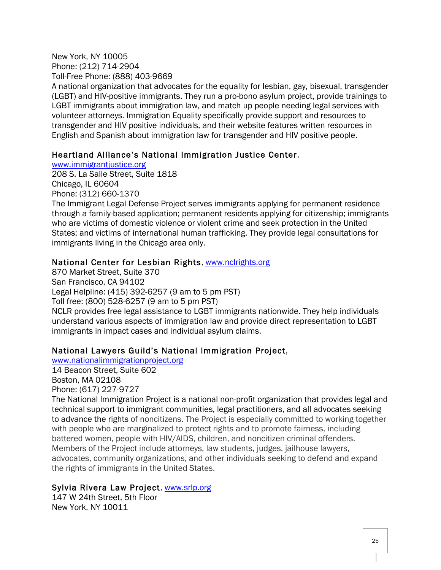New York, NY 10005 Phone: (212) 714-2904 Toll-Free Phone: (888) 403-9669 A national organization that advocates for the equality for lesbian, gay, bisexual, transgender (LGBT) and HIV-positive immigrants. They run a pro-bono asylum project, provide trainings to LGBT immigrants about immigration law, and match up people needing legal services with volunteer attorneys. Immigration Equality specifically provide support and resources to transgender and HIV positive individuals, and their website features written resources in English and Spanish about immigration law for transgender and HIV positive people.

# Heartland Alliance's National Immigration Justice Center,

www.immigrantjustice.org

208 S. La Salle Street, Suite 1818 Chicago, IL 60604 Phone: (312) 660-1370

The Immigrant Legal Defense Project serves immigrants applying for permanent residence through a family-based application; permanent residents applying for citizenship; immigrants who are victims of domestic violence or violent crime and seek protection in the United States; and victims of international human trafficking. They provide legal consultations for immigrants living in the Chicago area only.

# National Center for Lesbian Rights, www.nclrights.org

870 Market Street, Suite 370 San Francisco, CA 94102 Legal Helpline: (415) 392-6257 (9 am to 5 pm PST) Toll free: (800) 528-6257 (9 am to 5 pm PST) NCLR provides free legal assistance to LGBT immigrants nationwide. They help individuals understand various aspects of immigration law and provide direct representation to LGBT immigrants in impact cases and individual asylum claims.

# National Lawyers Guild's National Immigration Project,

www.nationalimmigrationproject.org

14 Beacon Street, Suite 602 Boston, MA 02108

Phone: (617) 227-9727

The National Immigration Project is a national non-profit organization that provides legal and technical support to immigrant communities, legal practitioners, and all advocates seeking to advance the rights of noncitizens. The Project is especially committed to working together with people who are marginalized to protect rights and to promote fairness, including battered women, people with HIV/AIDS, children, and noncitizen criminal offenders. Members of the Project include attorneys, law students, judges, jailhouse lawyers, advocates, community organizations, and other individuals seeking to defend and expand the rights of immigrants in the United States.

# Sylvia Rivera Law Project, www.srlp.org

147 W 24th Street, 5th Floor New York, NY 10011